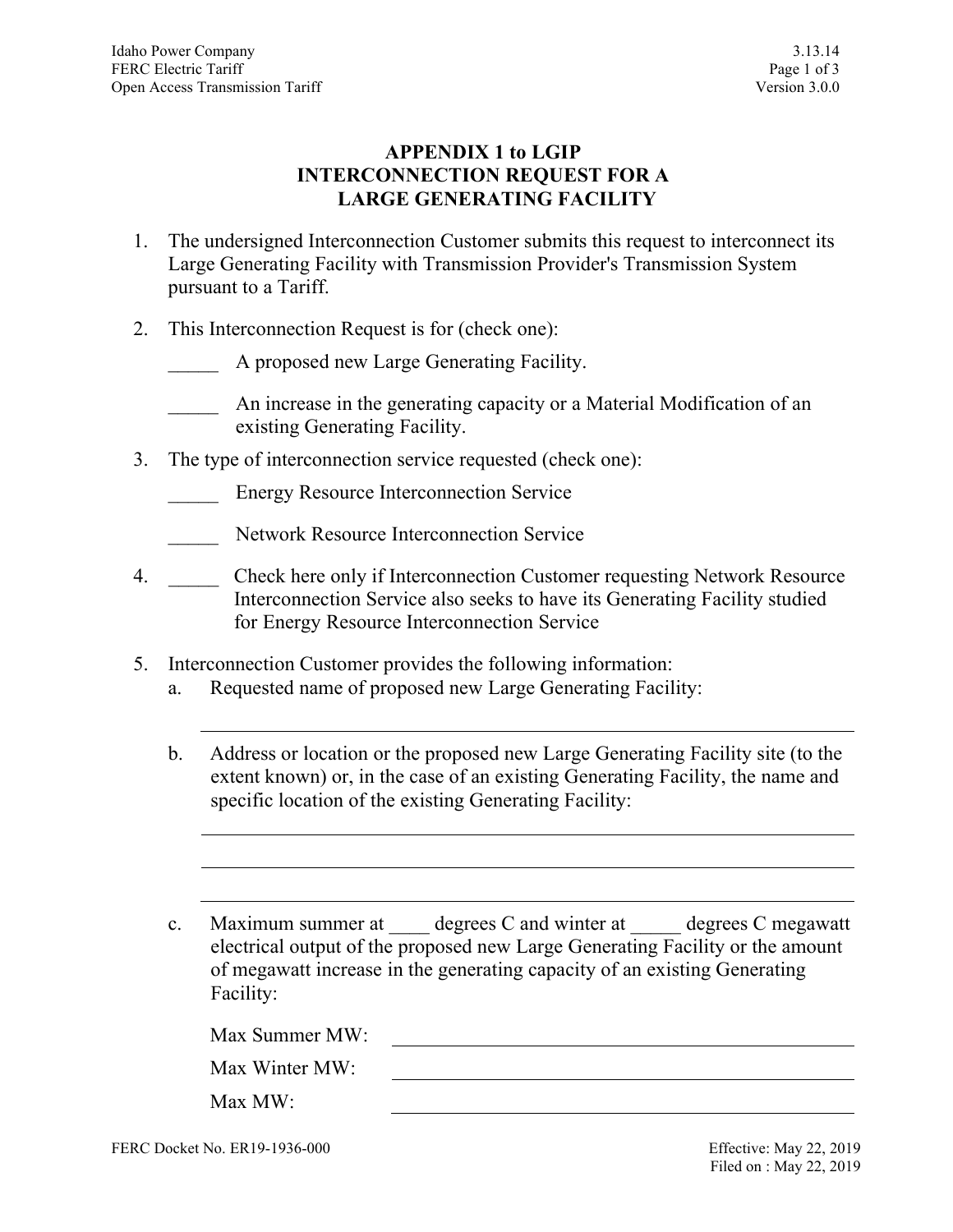### **APPENDIX 1 to LGIP INTERCONNECTION REQUEST FOR A LARGE GENERATING FACILITY**

- 1. The undersigned Interconnection Customer submits this request to interconnect its Large Generating Facility with Transmission Provider's Transmission System pursuant to a Tariff.
- 2. This Interconnection Request is for (check one):
	- A proposed new Large Generating Facility.
	- \_\_\_\_\_ An increase in the generating capacity or a Material Modification of an existing Generating Facility.
- 3. The type of interconnection service requested (check one):
	- Energy Resource Interconnection Service
	- Network Resource Interconnection Service
- 4. \_\_\_\_\_\_ Check here only if Interconnection Customer requesting Network Resource Interconnection Service also seeks to have its Generating Facility studied for Energy Resource Interconnection Service
- 5. Interconnection Customer provides the following information:
	- a. Requested name of proposed new Large Generating Facility:
	- b. Address or location or the proposed new Large Generating Facility site (to the extent known) or, in the case of an existing Generating Facility, the name and specific location of the existing Generating Facility:
	- c. Maximum summer at degrees C and winter at degrees C megawatt electrical output of the proposed new Large Generating Facility or the amount of megawatt increase in the generating capacity of an existing Generating Facility:

| Max Summer MW: |  |
|----------------|--|
| Max Winter MW: |  |
| Max MW:        |  |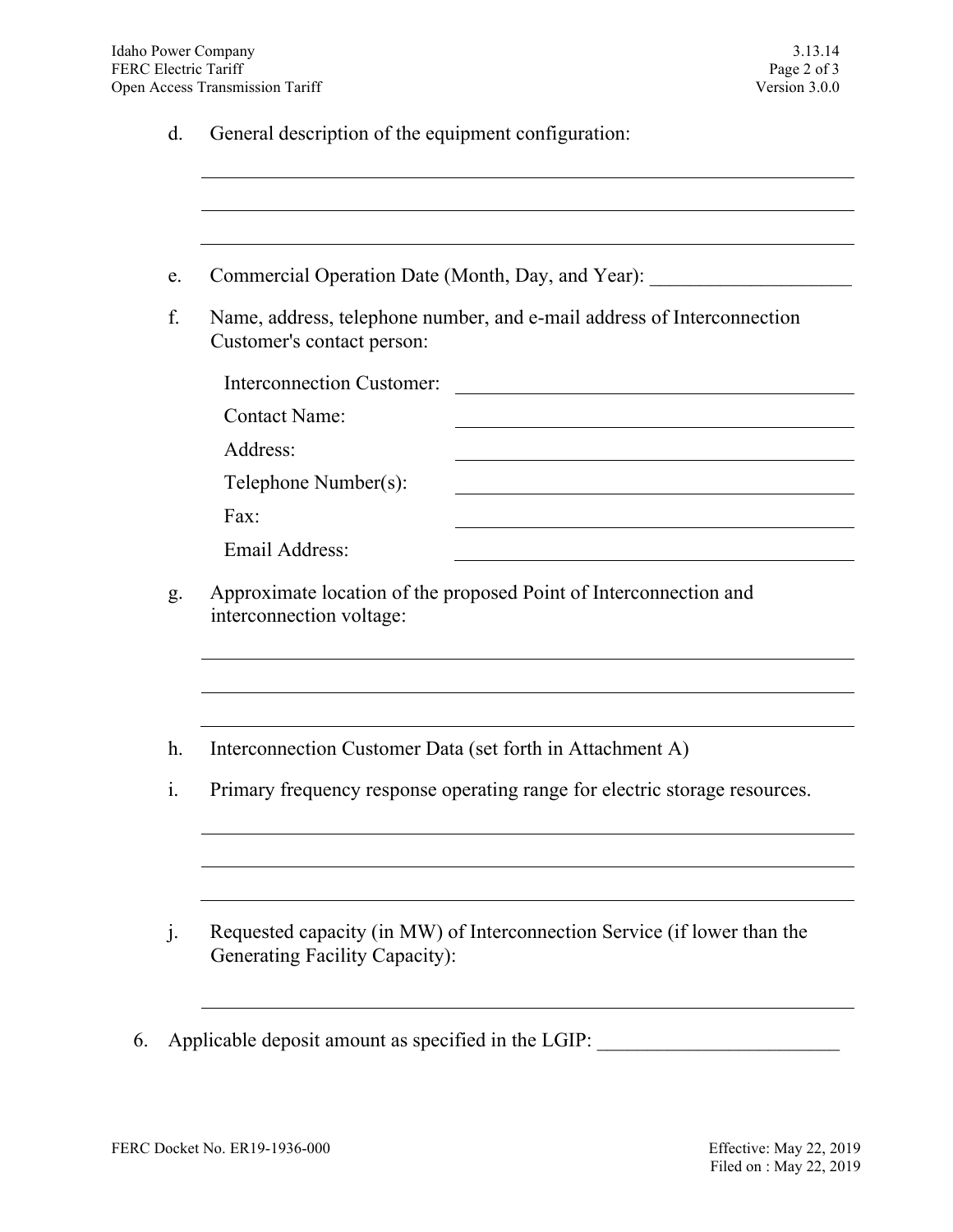d. General description of the equipment configuration:

| e.             | Commercial Operation Date (Month, Day, and Year): ______________________________                             |  |
|----------------|--------------------------------------------------------------------------------------------------------------|--|
| f.             | Name, address, telephone number, and e-mail address of Interconnection<br>Customer's contact person:         |  |
|                | Interconnection Customer:<br>the contract of the contract of the contract of the contract of the contract of |  |
|                | <b>Contact Name:</b>                                                                                         |  |
|                | Address:                                                                                                     |  |
|                | Telephone Number(s):                                                                                         |  |
|                | Fax:                                                                                                         |  |
|                |                                                                                                              |  |
|                | Email Address:<br>Approximate location of the proposed Point of Interconnection and                          |  |
|                | interconnection voltage:                                                                                     |  |
|                | Interconnection Customer Data (set forth in Attachment A)                                                    |  |
| g.<br>h.<br>i. | Primary frequency response operating range for electric storage resources.                                   |  |
|                | Requested capacity (in MW) of Interconnection Service (if lower than the                                     |  |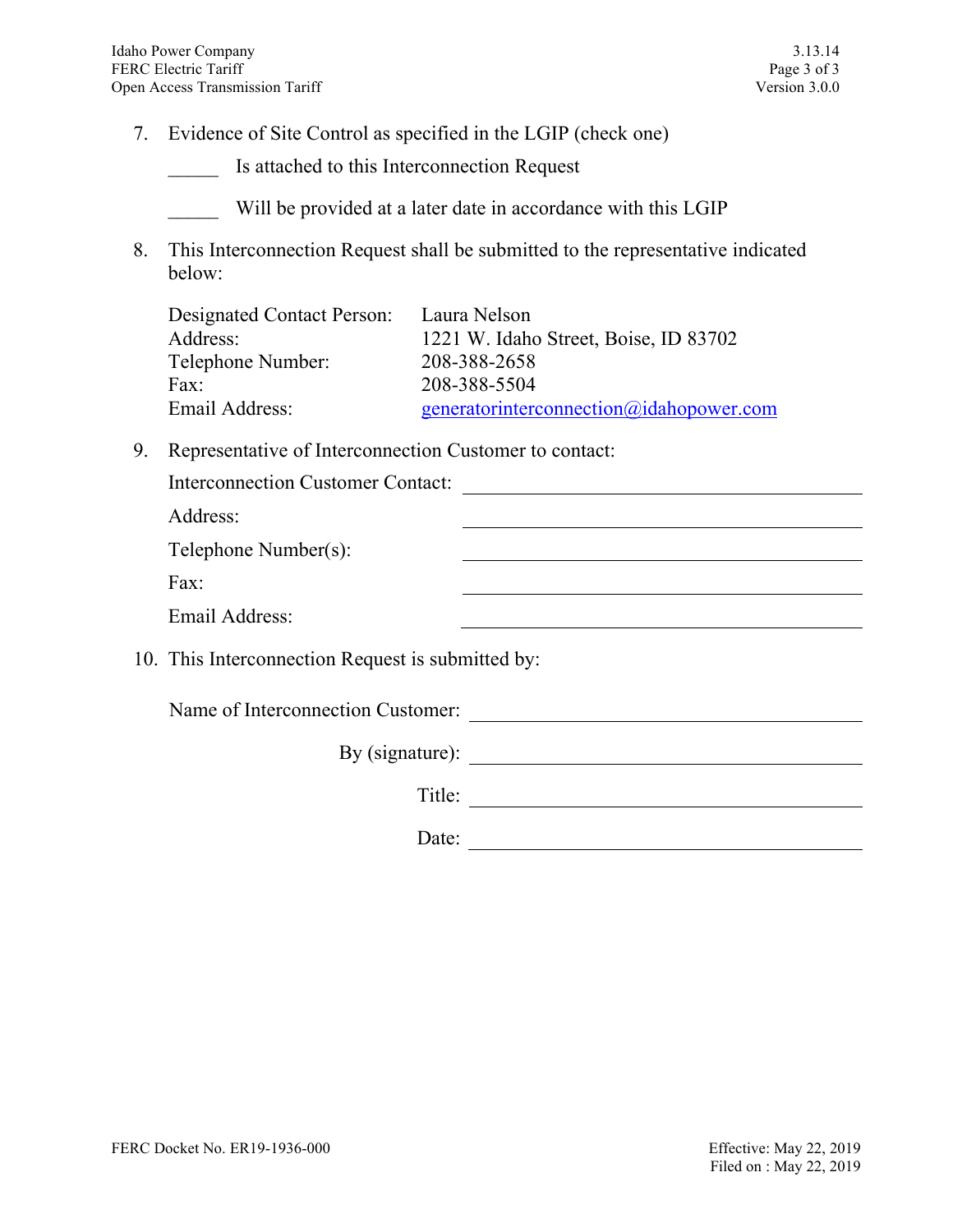- 7. Evidence of Site Control as specified in the LGIP (check one)
	- \_\_\_\_\_ Is attached to this Interconnection Request

Will be provided at a later date in accordance with this LGIP

8. This Interconnection Request shall be submitted to the representative indicated below:

| Designated Contact Person: Laura Nelson |
|-----------------------------------------|
| 1221 W. Idaho Street, Boise, ID 83702   |
| 208-388-2658                            |
| 208-388-5504                            |
| generatorinterconnection@idahopower.com |
|                                         |

9. Representative of Interconnection Customer to contact:

| <b>Interconnection Customer Contact:</b>          |  |
|---------------------------------------------------|--|
| Address:                                          |  |
| Telephone Number(s):                              |  |
| Fax:                                              |  |
| Email Address:                                    |  |
| 10. This Interconnection Request is submitted by: |  |
| Name of Interconnection Customer:                 |  |
| By $(signature)$ :                                |  |
| Title:                                            |  |

Date: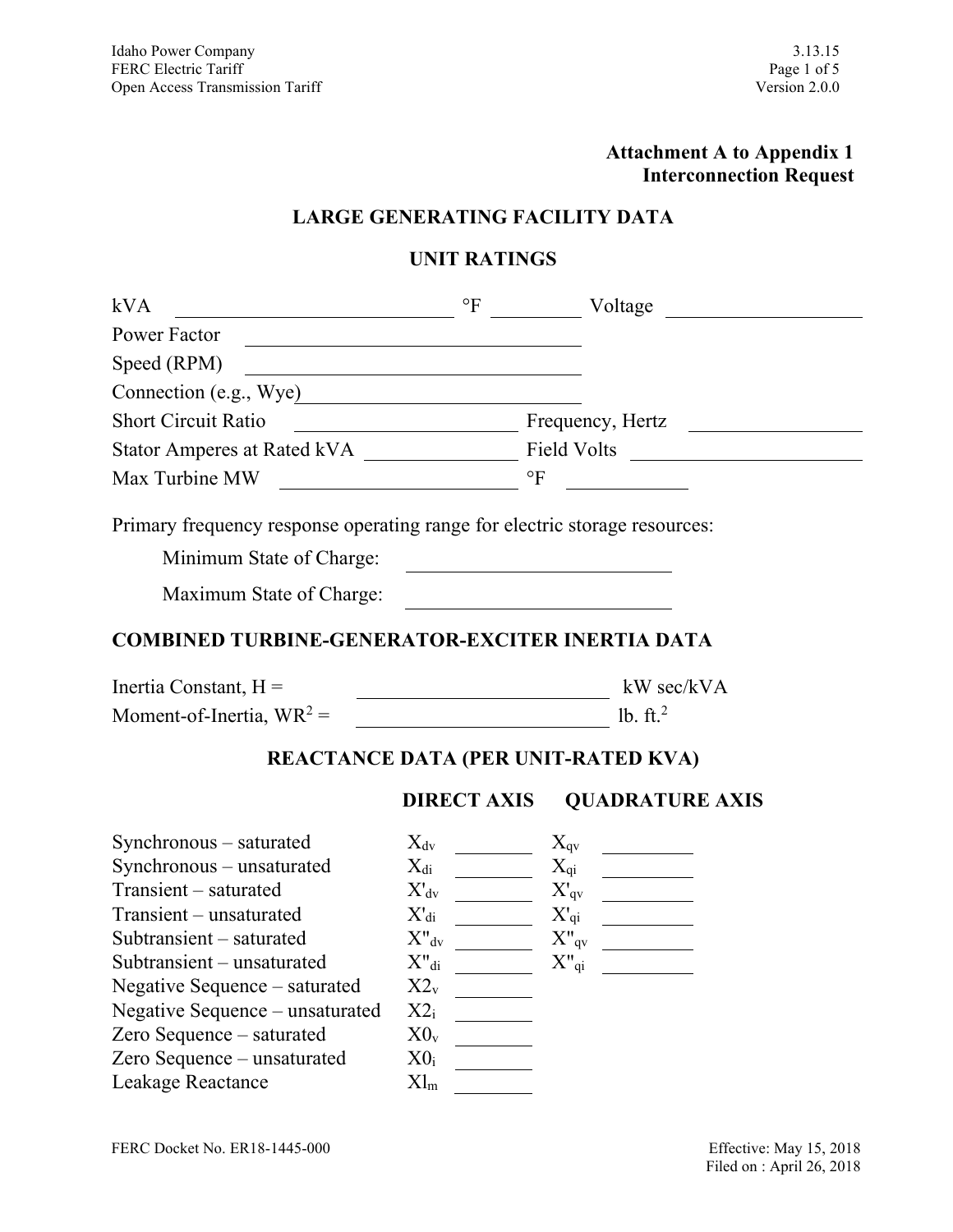# **Attachment A to Appendix 1 Interconnection Request**

# **LARGE GENERATING FACILITY DATA**

# **UNIT RATINGS**

| kVA                                                                        | $\circ$ F                                                                                                            | Voltage                                                                                                                                                                                                                                                                                                          |  |
|----------------------------------------------------------------------------|----------------------------------------------------------------------------------------------------------------------|------------------------------------------------------------------------------------------------------------------------------------------------------------------------------------------------------------------------------------------------------------------------------------------------------------------|--|
| Power Factor                                                               |                                                                                                                      |                                                                                                                                                                                                                                                                                                                  |  |
| Speed (RPM)                                                                | <u> 1980 - Johann Barn, mars ann an t-Amhain Aonaich an t-Aonaich an t-Aonaich ann an t-Aonaich ann an t-Aonaich</u> |                                                                                                                                                                                                                                                                                                                  |  |
| Connection (e.g., Wye)                                                     |                                                                                                                      |                                                                                                                                                                                                                                                                                                                  |  |
| <b>Short Circuit Ratio</b>                                                 |                                                                                                                      |                                                                                                                                                                                                                                                                                                                  |  |
|                                                                            |                                                                                                                      |                                                                                                                                                                                                                                                                                                                  |  |
|                                                                            |                                                                                                                      | $\mathbf{P}$<br><u> 1990 - Jan Barnett, franc</u>                                                                                                                                                                                                                                                                |  |
| Primary frequency response operating range for electric storage resources: |                                                                                                                      |                                                                                                                                                                                                                                                                                                                  |  |
| Minimum State of Charge:                                                   |                                                                                                                      | <u> 1989 - Johann Barbara, martxa a</u>                                                                                                                                                                                                                                                                          |  |
| Maximum State of Charge:                                                   |                                                                                                                      |                                                                                                                                                                                                                                                                                                                  |  |
| <b>COMBINED TURBINE-GENERATOR-EXCITER INERTIA DATA</b>                     |                                                                                                                      |                                                                                                                                                                                                                                                                                                                  |  |
| Inertia Constant, $H =$                                                    | <u> 1989 - Johann Barn, mars ar breis an t-</u>                                                                      | kW sec/kVA                                                                                                                                                                                                                                                                                                       |  |
|                                                                            |                                                                                                                      |                                                                                                                                                                                                                                                                                                                  |  |
|                                                                            |                                                                                                                      | REACTANCE DATA (PER UNIT-RATED KVA)                                                                                                                                                                                                                                                                              |  |
|                                                                            | <b>DIRECT AXIS</b>                                                                                                   | <b>QUADRATURE AXIS</b>                                                                                                                                                                                                                                                                                           |  |
| Synchronous – saturated                                                    | $X_{dv}$                                                                                                             | $X_{qv}$                                                                                                                                                                                                                                                                                                         |  |
| Synchronous – unsaturated                                                  | $X_{di}$                                                                                                             | $X_{qi}$<br>$\begin{array}{c} \begin{array}{c} \begin{array}{c} \begin{array}{c} \end{array} \\ \begin{array}{c} \end{array} \end{array} \end{array} \end{array} \end{array} \end{array} \begin{array}{c} \begin{array}{c} \begin{array}{c} \end{array} \\ \begin{array}{c} \end{array} \end{array} \end{array}$ |  |
| Transient - saturated                                                      | $X'_{dv}$                                                                                                            | $X'_{qv}$<br>$\overline{\phantom{a}}$                                                                                                                                                                                                                                                                            |  |
| Transient - unsaturated                                                    | $X_{di}$                                                                                                             | $X_{qi}$                                                                                                                                                                                                                                                                                                         |  |
| Subtransient - saturated                                                   | $X^{\prime\prime}$ <sub>dv</sub>                                                                                     |                                                                                                                                                                                                                                                                                                                  |  |
| Subtransient – unsaturated                                                 | $X^{\prime\prime}$ di                                                                                                | $X_{\text{q}i}$                                                                                                                                                                                                                                                                                                  |  |
| Negative Sequence – saturated                                              | $X2_v$                                                                                                               |                                                                                                                                                                                                                                                                                                                  |  |
| Negative Sequence - unsaturated                                            | $X2_i$                                                                                                               |                                                                                                                                                                                                                                                                                                                  |  |
| Zero Sequence - saturated                                                  | $X0_{v}$                                                                                                             |                                                                                                                                                                                                                                                                                                                  |  |
| Zero Sequence - unsaturated                                                | $X0_i$                                                                                                               |                                                                                                                                                                                                                                                                                                                  |  |
| Leakage Reactance                                                          | $Xl_m$                                                                                                               |                                                                                                                                                                                                                                                                                                                  |  |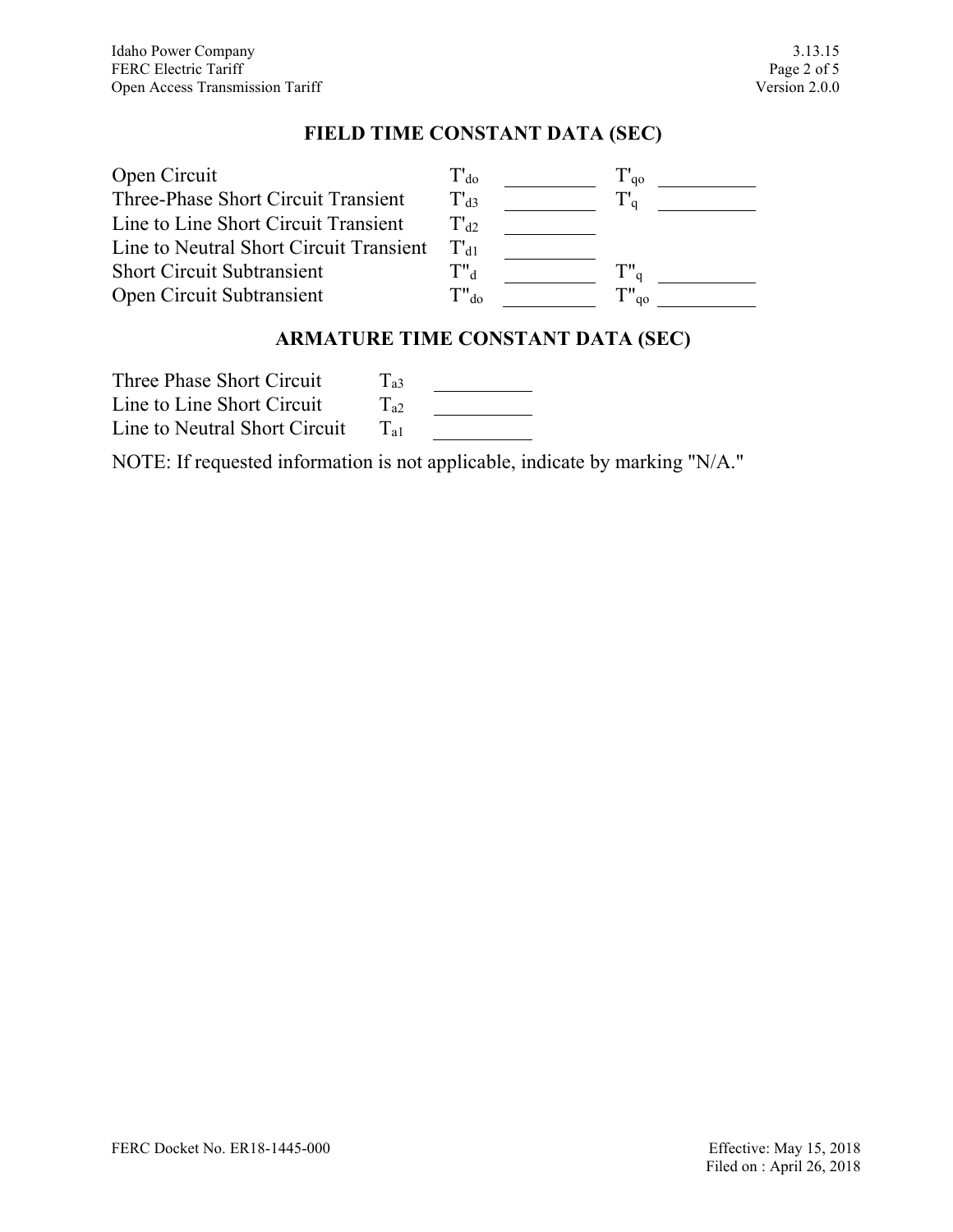### **FIELD TIME CONSTANT DATA (SEC)**

| Open Circuit                            | $T_{d0}$             | $\mathbf{q}_0$ |  |
|-----------------------------------------|----------------------|----------------|--|
| Three-Phase Short Circuit Transient     | $T_{d3}$             |                |  |
| Line to Line Short Circuit Transient    | $T'$ a2              |                |  |
| Line to Neutral Short Circuit Transient | $\Gamma_{A1}$        |                |  |
| <b>Short Circuit Subtransient</b>       | $\mathrm{T}"^{}_{d}$ | Tw             |  |
| Open Circuit Subtransient               | $T"$ <sub>do</sub>   | qo             |  |

### **ARMATURE TIME CONSTANT DATA (SEC)**

Three Phase Short Circuit  $T_{a3}$ Line to Line Short Circuit  $T_{a2}$  $\begin{tabular}{|c|c|c|c|} \hline \quad \quad & \quad \quad & \quad \quad & \quad \quad \\ \hline \quad \quad & \quad \quad & \quad \quad & \quad \quad \\ \hline \end{tabular}$ Line to Neutral Short Circuit  $T_{a1}$ 

NOTE: If requested information is not applicable, indicate by marking "N/A."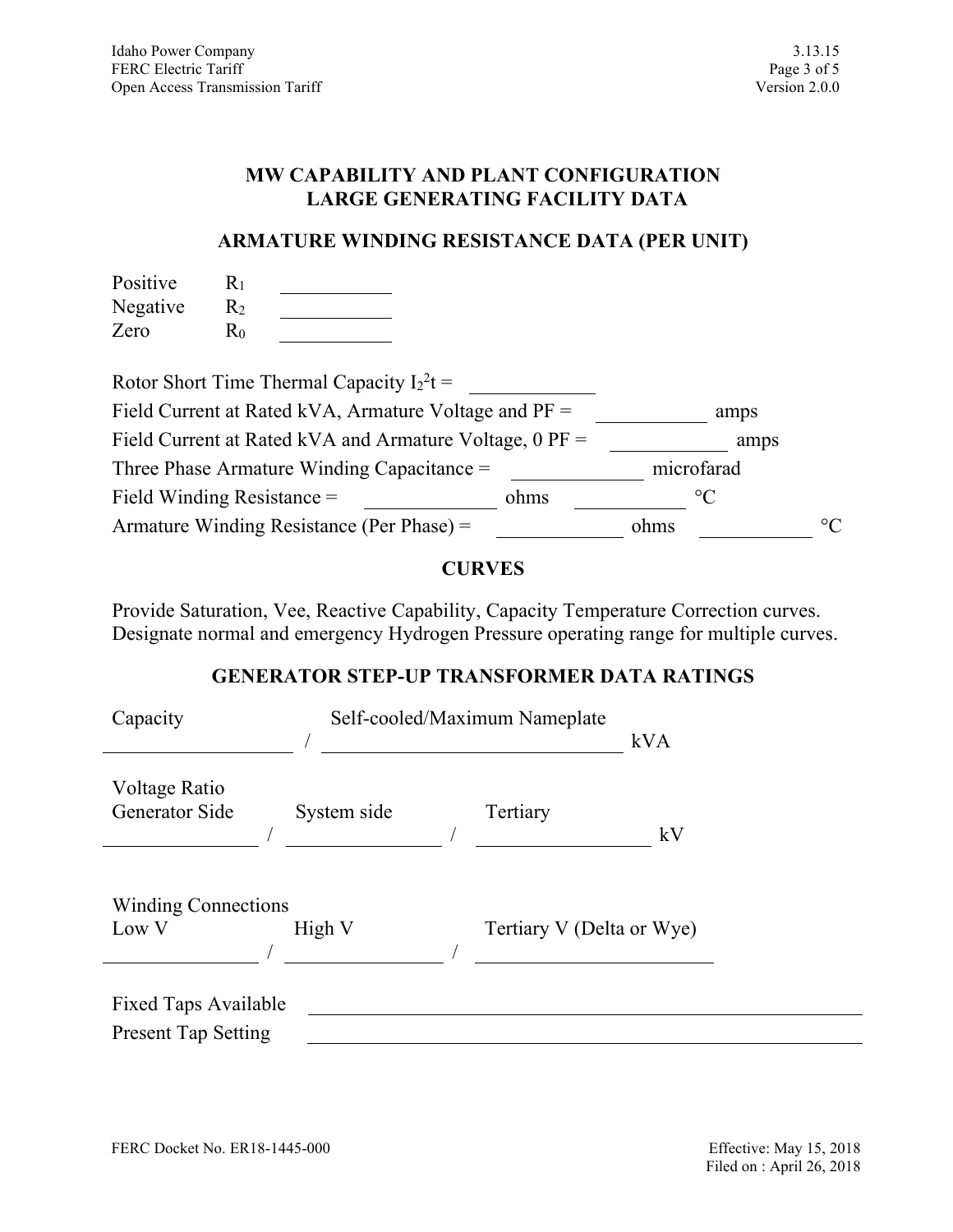#### **MW CAPABILITY AND PLANT CONFIGURATION LARGE GENERATING FACILITY DATA**

### **ARMATURE WINDING RESISTANCE DATA (PER UNIT)**

| Positive | $\rm R_{1}$ |  |
|----------|-------------|--|
| Negative | R2          |  |
| Zero     | $\rm R_{0}$ |  |

| Rotor Short Time Thermal Capacity $I_2^2 t =$             |      |      |                 |             |
|-----------------------------------------------------------|------|------|-----------------|-------------|
| Field Current at Rated kVA, Armature Voltage and $PF =$   |      |      | amps            |             |
| Field Current at Rated kVA and Armature Voltage, $0$ PF = |      |      | amps            |             |
| Three Phase Armature Winding Capacitance $=$              |      |      | microfarad      |             |
| Field Winding Resistance $=$                              | ohms |      | $\rm ^{\circ}C$ |             |
| Armature Winding Resistance (Per Phase) =                 |      | ohms |                 | $^{\circ}C$ |

### **CURVES**

Provide Saturation, Vee, Reactive Capability, Capacity Temperature Correction curves. Designate normal and emergency Hydrogen Pressure operating range for multiple curves.

# **GENERATOR STEP-UP TRANSFORMER DATA RATINGS**

| Capacity                                           |             | Self-cooled/Maximum Nameplate | kVA |
|----------------------------------------------------|-------------|-------------------------------|-----|
| Voltage Ratio<br>Generator Side                    | System side | Tertiary                      | kV  |
| <b>Winding Connections</b><br>Low V                | High V      | Tertiary V (Delta or Wye)     |     |
| Fixed Taps Available<br><b>Present Tap Setting</b> |             |                               |     |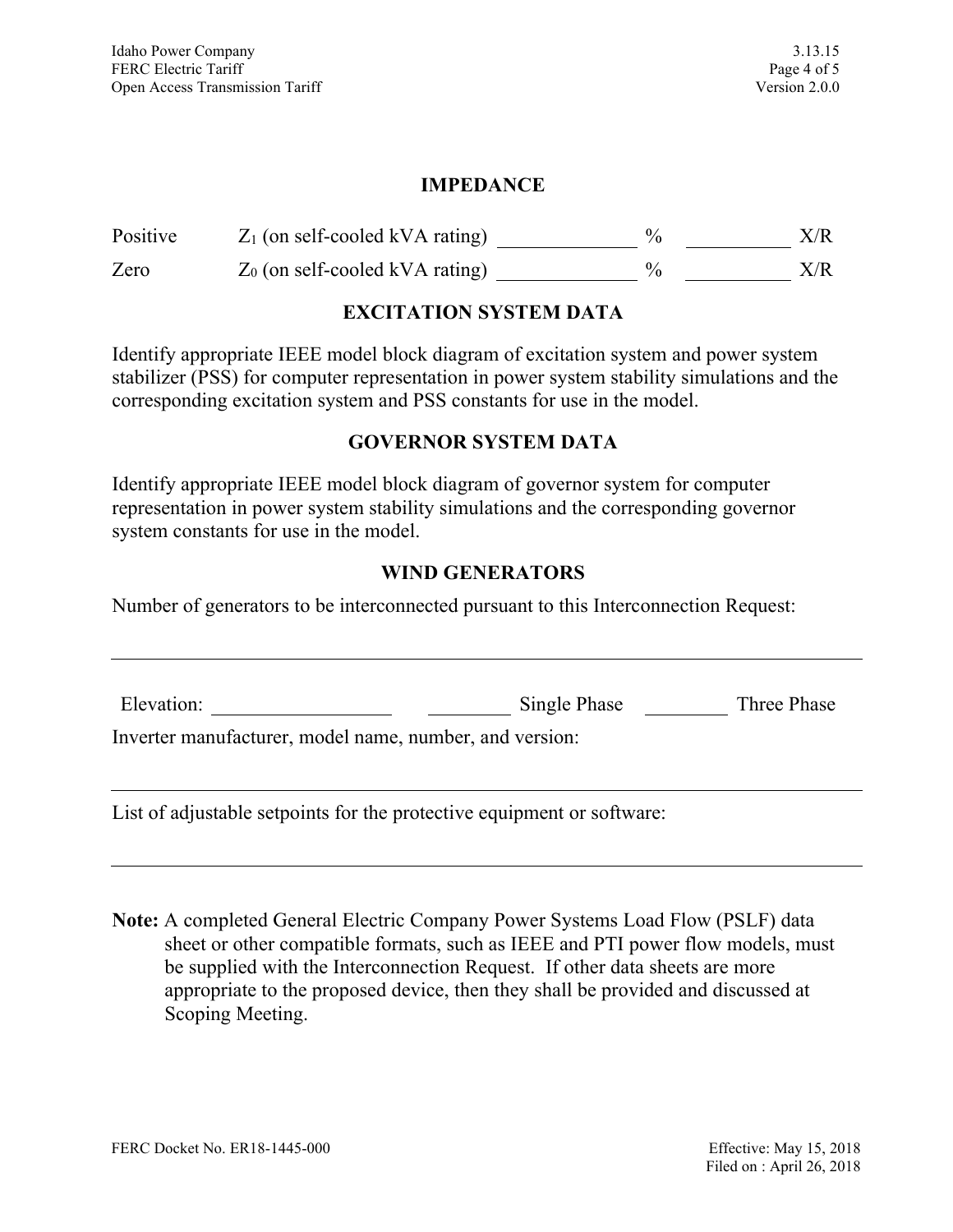### **IMPEDANCE**

| Positive | $Z_1$ (on self-cooled kVA rating) | X/R |
|----------|-----------------------------------|-----|
| Zero     | $Z_0$ (on self-cooled kVA rating) | X/R |

### **EXCITATION SYSTEM DATA**

Identify appropriate IEEE model block diagram of excitation system and power system stabilizer (PSS) for computer representation in power system stability simulations and the corresponding excitation system and PSS constants for use in the model.

### **GOVERNOR SYSTEM DATA**

Identify appropriate IEEE model block diagram of governor system for computer representation in power system stability simulations and the corresponding governor system constants for use in the model.

#### **WIND GENERATORS**

Number of generators to be interconnected pursuant to this Interconnection Request:

| Elevation:                                              | Single Phase | Three Phase |
|---------------------------------------------------------|--------------|-------------|
| Inverter manufacturer, model name, number, and version: |              |             |
|                                                         |              |             |

List of adjustable setpoints for the protective equipment or software:

**Note:** A completed General Electric Company Power Systems Load Flow (PSLF) data sheet or other compatible formats, such as IEEE and PTI power flow models, must be supplied with the Interconnection Request. If other data sheets are more appropriate to the proposed device, then they shall be provided and discussed at Scoping Meeting.